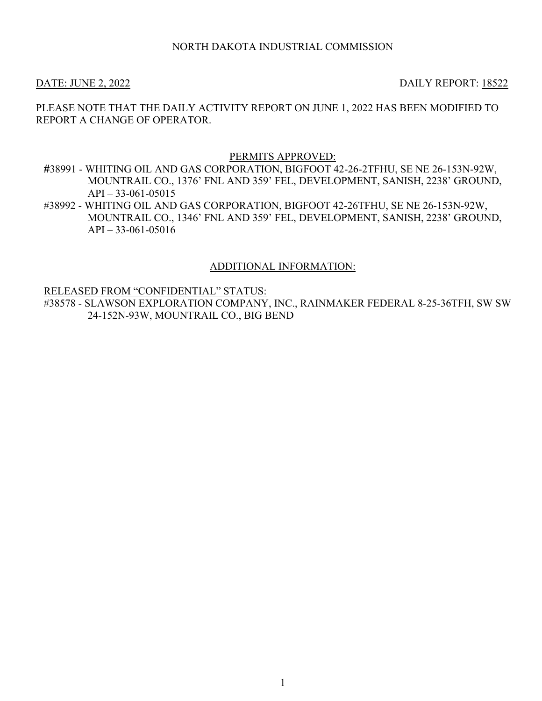## NORTH DAKOTA INDUSTRIAL COMMISSION

DATE: JUNE 2, 2022 DAILY REPORT: 18522

PLEASE NOTE THAT THE DAILY ACTIVITY REPORT ON JUNE 1, 2022 HAS BEEN MODIFIED TO REPORT A CHANGE OF OPERATOR.

#### PERMITS APPROVED:

#38991 - WHITING OIL AND GAS CORPORATION, BIGFOOT 42-26-2TFHU, SE NE 26-153N-92W, MOUNTRAIL CO., 1376' FNL AND 359' FEL, DEVELOPMENT, SANISH, 2238' GROUND,  $API - 33-061-05015$ 

#38992 - WHITING OIL AND GAS CORPORATION, BIGFOOT 42-26TFHU, SE NE 26-153N-92W, MOUNTRAIL CO., 1346' FNL AND 359' FEL, DEVELOPMENT, SANISH, 2238' GROUND, API – 33-061-05016

### ADDITIONAL INFORMATION:

RELEASED FROM "CONFIDENTIAL" STATUS:

#38578 - SLAWSON EXPLORATION COMPANY, INC., RAINMAKER FEDERAL 8-25-36TFH, SW SW 24-152N-93W, MOUNTRAIL CO., BIG BEND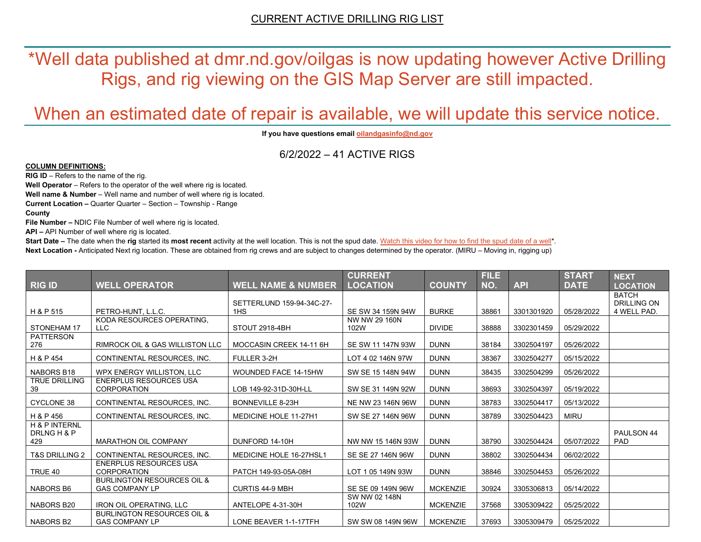\*Well data published at dmr.nd.gov/oilgas is now updating however Active Drilling Rigs, and rig viewing on the GIS Map Server are still impacted.

# When an estimated date of repair is available, we will update this service notice.

**If you have questions emai[l oilandgasinfo@nd.gov](mailto:oilandgasinfo@nd.gov)**

6/2/2022 – 41 ACTIVE RIGS

#### **COLUMN DEFINITIONS:**

**RIG ID** – Refers to the name of the rig.

**Well Operator** – Refers to the operator of the well where rig is located.

**Well name & Number** – Well name and number of well where rig is located.

**Current Location –** Quarter Quarter – Section – Township - Range

**County**

**File Number –** NDIC File Number of well where rig is located.

**API –** API Number of well where rig is located.

**Start Date** – The date when the **rig** started its most recent activity at the well location. This is not the spud date. Watch this video for how [to find the spud date of a well\\*](https://youtu.be/JjWwzuuMVpM). **Next Location -** Anticipated Next rig location. These are obtained from rig crews and are subject to changes determined by the operator. (MIRU – Moving in, rigging up)

|                                     |                                                                |                                  | <b>CURRENT</b>        |                 | <b>FILE</b> |            | <b>START</b> | <b>NEXT</b>                       |
|-------------------------------------|----------------------------------------------------------------|----------------------------------|-----------------------|-----------------|-------------|------------|--------------|-----------------------------------|
| <b>RIG ID</b>                       | <b>WELL OPERATOR</b>                                           | <b>WELL NAME &amp; NUMBER</b>    | <b>LOCATION</b>       | <b>COUNTY</b>   | NO.         | <b>API</b> | <b>DATE</b>  | <b>LOCATION</b>                   |
|                                     |                                                                |                                  |                       |                 |             |            |              | <b>BATCH</b>                      |
| H & P 515                           | PETRO-HUNT, L.L.C.                                             | SETTERLUND 159-94-34C-27-<br>1HS | SE SW 34 159N 94W     | <b>BURKE</b>    | 38861       | 3301301920 | 05/28/2022   | <b>DRILLING ON</b><br>4 WELL PAD. |
|                                     | KODA RESOURCES OPERATING,                                      |                                  | NW NW 29 160N         |                 |             |            |              |                                   |
| STONEHAM 17                         | LLC                                                            | STOUT 2918-4BH                   | 102W                  | <b>DIVIDE</b>   | 38888       | 3302301459 | 05/29/2022   |                                   |
| <b>PATTERSON</b><br>276             | <b>RIMROCK OIL &amp; GAS WILLISTON LLC</b>                     | MOCCASIN CREEK 14-11 6H          | SE SW 11 147N 93W     | <b>DUNN</b>     | 38184       | 3302504197 | 05/26/2022   |                                   |
| H & P 454                           | CONTINENTAL RESOURCES, INC.                                    | FULLER 3-2H                      | LOT 4 02 146N 97W     | <b>DUNN</b>     | 38367       | 3302504277 | 05/15/2022   |                                   |
| NABORS B18                          | WPX ENERGY WILLISTON, LLC                                      | <b>WOUNDED FACE 14-15HW</b>      | SW SE 15 148N 94W     | <b>DUNN</b>     | 38435       | 3302504299 | 05/26/2022   |                                   |
| <b>TRUE DRILLING</b><br>39          | <b>ENERPLUS RESOURCES USA</b><br><b>CORPORATION</b>            | LOB 149-92-31D-30H-LL            | SW SE 31 149N 92W     | <b>DUNN</b>     | 38693       | 3302504397 | 05/19/2022   |                                   |
| <b>CYCLONE 38</b>                   | CONTINENTAL RESOURCES, INC.                                    | BONNEVILLE 8-23H                 | NE NW 23 146N 96W     | <b>DUNN</b>     | 38783       | 3302504417 | 05/13/2022   |                                   |
| H & P 456                           | CONTINENTAL RESOURCES. INC.                                    | <b>MEDICINE HOLE 11-27H1</b>     | SW SE 27 146N 96W     | <b>DUNN</b>     | 38789       | 3302504423 | <b>MIRU</b>  |                                   |
| H & P INTERNL<br>DRLNG H & P<br>429 | <b>MARATHON OIL COMPANY</b>                                    | DUNFORD 14-10H                   | NW NW 15 146N 93W     | <b>DUNN</b>     | 38790       | 3302504424 | 05/07/2022   | PAULSON 44<br><b>PAD</b>          |
| <b>T&amp;S DRILLING 2</b>           | CONTINENTAL RESOURCES. INC.                                    | MEDICINE HOLE 16-27HSL1          | SE SE 27 146N 96W     | <b>DUNN</b>     | 38802       | 3302504434 | 06/02/2022   |                                   |
| TRUE 40                             | <b>ENERPLUS RESOURCES USA</b><br><b>CORPORATION</b>            | PATCH 149-93-05A-08H             | LOT 1 05 149N 93W     | <b>DUNN</b>     | 38846       | 3302504453 | 05/26/2022   |                                   |
| NABORS B6                           | <b>BURLINGTON RESOURCES OIL &amp;</b><br><b>GAS COMPANY LP</b> | <b>CURTIS 44-9 MBH</b>           | SE SE 09 149N 96W     | <b>MCKENZIE</b> | 30924       | 3305306813 | 05/14/2022   |                                   |
| NABORS B20                          | <b>IRON OIL OPERATING, LLC</b>                                 | ANTELOPE 4-31-30H                | SW NW 02 148N<br>102W | <b>MCKENZIE</b> | 37568       | 3305309422 | 05/25/2022   |                                   |
| NABORS B2                           | <b>BURLINGTON RESOURCES OIL &amp;</b><br><b>GAS COMPANY LP</b> | LONE BEAVER 1-1-17TFH            | SW SW 08 149N 96W     | <b>MCKENZIE</b> | 37693       | 3305309479 | 05/25/2022   |                                   |